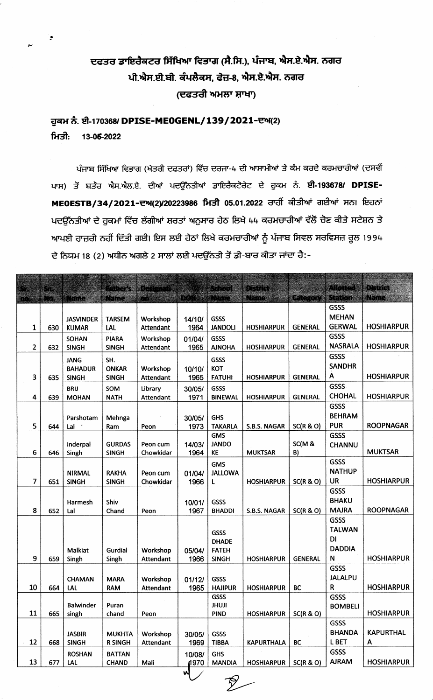## ਦਫਤਰ ਡਾਇਰੈਕਟਰ ਸਿੱਖਿਆ ਵਿਭਾਗ (ਸੈ.ਸਿ.), ਪੰਜਾਬ, ਐਸ.ਏ.ਐਸ. ਨਗਰ ਪੀ.ਐਸ.ਈ.ਬੀ. ਕੰਪਲੈਕਸ, ਫੇਜ਼-8, ਐਸ.ਏ.ਐਸ. ਨਗਰ (ਦਫਤਰੀ ਅਮਲਾ ਸ਼ਾਖਾ)

## ਹੁਕਮ ਨੰ. ਈ-170368/ DPISE-ME0GENL/139/2021-ਦਅ(2) ਮਿਤੀ: 13-05-2022

ਪੰਜਾਬ ਸਿੱਖਿਆ ਵਿਭਾਗ (ਖੇਤਰੀ ਦਫਤਰਾਂ) ਵਿੱਚ ਦਰਜਾ-4 ਦੀ ਆਸਾਮੀਆਂ ਤੇ ਕੰਮ ਕਰਦੇ ਕਰਮਚਾਰੀਆਂ (ਦਸਵੀਂ ਪਾਸ) ਤੋਂ ਬਤੰਰ ਐਸ.ਐਲ.ਏ. ਦੀਆਂ ਪਦਉੱਨਤੀਆਂ ਡਾਇਰੈਕਟੋਰੇਟ ਦੇ ਹੁਕਮ ਨੰ. **ਈ-193678/ DPISE-**MEOESTB/34/2021-ਦਅ(2)/20223986 ਮਿਤੀ 05.01.2022 ਰਾਹੀਂ ਕੀਤੀਆਂ ਗਈਆਂ ਸਨ। ਇਹਨਾਂ ਪਦਉੱਨਤੀਆਂ ਦੇ ਹੁਕਮਾਂ ਵਿੱਚ ਲੱਗੀਆਂ ਸ਼ਰਤਾਂ ਅਨੁਸਾਰ ਹੇਠ ਲਿਖੇ 44 ਕਰਮਚਾਰੀਆਂ ਵੱਲੋਂ ਚੋਣ ਕੀਤੇ ਸਟੇਸ਼ਨ ਤੇ ਆਪਣੀ ਹਾਜ਼ਰੀ ਨਹੀਂ ਦਿੱਤੀ ਗਈ। ਇਸ ਲਈ ਹੇਠਾਂ ਲਿਖੇ ਕਰਮਚਾਰੀਆਂ ਨੂੰ ਪੰਜਾਬ ਸਿਵਲ ਸਰਵਿਸਜ਼ ਰੂਲ 1994 ਦੇ ਨਿਯਮ 18 (2) ਅਧੀਨ ਅਗਲੇ 2 ਸਾਲਾਂ ਲਈ ਪਦਉੱਨਤੀ ਤੋਂ ਡੀ-ਬਾਰ ਕੀਤਾ ਜਾਂਦਾ ਹੈ:-

| TYPERMIN<br><b>ANDREA</b><br><b>EDITOR</b><br>en de<br>e e<br>en 1<br><b>CONTRACT</b><br><u>matana</u><br><b>REMER</b><br>GSSS<br><b>MEHAN</b><br><b>GSSS</b><br><b>TARSEM</b><br>Workshop<br><b>JASVINDER</b><br>14/10/<br><b>GERWAL</b><br><b>HOSHIARPUR</b><br>1964<br><b>JANDOLI</b><br><b>GENERAL</b><br>1<br>630<br><b>Attendant</b><br><b>HOSHIARPUR</b><br><b>KUMAR</b><br>LAL<br><b>GSSS</b><br><b>PIARA</b><br><b>GSSS</b><br>Workshop<br><b>SOHAN</b><br>01/04/<br><b>NASRALA</b><br><b>HOSHIARPUR</b><br>$\overline{\mathbf{c}}$<br><b>GENERAL</b><br>1965<br><b>AJNOHA</b><br><b>HOSHIARPUR</b><br><b>SINGH</b><br><b>SINGH</b><br><b>Attendant</b><br>632<br><b>GSSS</b><br>GSSS<br><b>JANG</b><br>SH.<br><b>SANDHR</b><br><b>KOT</b><br><b>ONKAR</b><br><b>BAHADUR</b><br>Workshop<br>10/10/<br>A<br><b>HOSHIARPUR</b><br>3<br>1965<br><b>FATUHI</b><br><b>GENERAL</b><br>635<br><b>SINGH</b><br><b>SINGH</b><br>Attendant<br><b>HOSHIARPUR</b><br><b>GSSS</b><br>GSSS<br><b>BRIJ</b><br>SOM<br>Library<br>30/05/<br><b>CHOHAL</b><br><b>HOSHIARPUR</b><br>4<br>1971<br><b>GENERAL</b><br>639<br><b>MOHAN</b><br><b>NATH</b><br>Attendant<br><b>BINEWAL</b><br><b>HOSHIARPUR</b><br><b>GSSS</b><br><b>BEHRAM</b><br><b>GHS</b><br>30/05/<br>Parshotam<br>Mehnga<br><b>PUR</b><br><b>ROOPNAGAR</b><br>5<br>SC(R & O)<br>644<br>1973<br><b>TAKARLA</b><br>S.B.S. NAGAR<br>Lal<br>Peon<br>Ram<br><b>GMS</b><br><b>GSSS</b><br><b>JANDO</b><br>SC(M &<br><b>GURDAS</b><br>14/03/<br>Inderpal<br>Peon cum<br><b>CHANNU</b><br><b>MUKTSAR</b><br>6<br>Chowkidar<br>1964<br>KE<br><b>MUKTSAR</b><br>B)<br>646<br><b>SINGH</b><br>Singh<br><b>GSSS</b><br><b>GMS</b><br><b>NATHUP</b><br><b>RAKHA</b><br>01/04/<br><b>JALLOWA</b><br><b>NIRMAL</b><br>Peon cum<br>7<br><b>UR</b><br><b>HOSHIARPUR</b><br>SC(R & O)<br><b>SINGH</b><br>Chowkidar<br>1966<br>651<br><b>SINGH</b><br>L<br><b>HOSHIARPUR</b><br><b>GSSS</b><br><b>BHAKU</b><br>Shiv<br>GSSS<br>Harmesh<br>10/01/<br>8<br><b>MAJRA</b><br><b>ROOPNAGAR</b><br>SC(R & O)<br>652<br>1967<br><b>BHADDI</b><br>S.B.S. NAGAR<br>Lal<br>Chand<br>Peon<br>GSSS<br><b>TALWAN</b><br>GSSS<br>DI<br><b>DHADE</b><br><b>DADDIA</b><br><b>FATEH</b><br><b>Malkiat</b><br>Gurdial<br>Workshop<br>05/04/<br>9<br>N<br><b>HOSHIARPUR</b><br>1966<br>659<br>Attendant<br><b>SINGH</b><br><b>HOSHIARPUR</b><br><b>GENERAL</b><br>Singh<br>Singh<br><b>GSSS</b><br><b>JALALPU</b><br>GSSS<br><b>CHAMAN</b><br><b>MARA</b><br>Workshop<br>01/12/<br>${\sf R}$<br>10<br><b>HOSHIARPUR</b><br>1965<br><b>HOSHIARPUR</b><br>664<br><b>Attendant</b><br><b>HAJIPUR</b><br><b>BC</b><br><b>RAM</b><br>LAL<br><b>GSSS</b><br><b>GSSS</b><br><b>Balwinder</b><br><b>ILUHL</b><br>Puran<br><b>BOMBELI</b><br>11<br><b>HOSHIARPUR</b><br>665<br><b>PIND</b><br>SC(R & O)<br>singh<br><b>HOSHIARPUR</b><br>chand<br>Peon<br><b>GSSS</b><br><b>BHANDA</b><br><b>KAPURTHAL</b><br><b>JASBIR</b><br><b>GSSS</b><br><b>MUKHTA</b><br>Workshop<br>30/05/<br>12<br>L BET<br><b>BC</b><br>668<br><b>SINGH</b><br><b>R SINGH</b><br><b>Attendant</b><br>1969<br><b>TIBBA</b><br><b>KAPURTHALA</b><br>A<br><b>GSSS</b><br><b>ROSHAN</b><br><b>GHS</b><br><b>BATTAN</b><br>10/08/<br><b>AJRAM</b><br>13<br><b>HOSHIARPUR</b><br>1970<br><b>MANDIA</b><br>677<br>LAL<br><b>CHAND</b><br>Mali<br><b>HOSHIARPUR</b><br>SC(R & O)<br>W | 33 | 13 |  | <u> Martin S</u> | a a shekara |       | etermen       | merketer |  | <u>Midiana</u> | mara |
|---------------------------------------------------------------------------------------------------------------------------------------------------------------------------------------------------------------------------------------------------------------------------------------------------------------------------------------------------------------------------------------------------------------------------------------------------------------------------------------------------------------------------------------------------------------------------------------------------------------------------------------------------------------------------------------------------------------------------------------------------------------------------------------------------------------------------------------------------------------------------------------------------------------------------------------------------------------------------------------------------------------------------------------------------------------------------------------------------------------------------------------------------------------------------------------------------------------------------------------------------------------------------------------------------------------------------------------------------------------------------------------------------------------------------------------------------------------------------------------------------------------------------------------------------------------------------------------------------------------------------------------------------------------------------------------------------------------------------------------------------------------------------------------------------------------------------------------------------------------------------------------------------------------------------------------------------------------------------------------------------------------------------------------------------------------------------------------------------------------------------------------------------------------------------------------------------------------------------------------------------------------------------------------------------------------------------------------------------------------------------------------------------------------------------------------------------------------------------------------------------------------------------------------------------------------------------------------------------------------------------------------------------------------------------------------------------------------------------------------------------------------------------------------------------------------------------------------------------------------------------------------------------------------------------------------------------------------------------------------------------------------------------------------------------------------------------------------------------------------------------------------------------------------------------------------------------------------------------------------------------------------------------------------------------------------------------------------------------------------|----|----|--|------------------|-------------|-------|---------------|----------|--|----------------|------|
|                                                                                                                                                                                                                                                                                                                                                                                                                                                                                                                                                                                                                                                                                                                                                                                                                                                                                                                                                                                                                                                                                                                                                                                                                                                                                                                                                                                                                                                                                                                                                                                                                                                                                                                                                                                                                                                                                                                                                                                                                                                                                                                                                                                                                                                                                                                                                                                                                                                                                                                                                                                                                                                                                                                                                                                                                                                                                                                                                                                                                                                                                                                                                                                                                                                                                                                                                               |    |    |  |                  |             | e e c | en er ekkelet |          |  |                |      |
|                                                                                                                                                                                                                                                                                                                                                                                                                                                                                                                                                                                                                                                                                                                                                                                                                                                                                                                                                                                                                                                                                                                                                                                                                                                                                                                                                                                                                                                                                                                                                                                                                                                                                                                                                                                                                                                                                                                                                                                                                                                                                                                                                                                                                                                                                                                                                                                                                                                                                                                                                                                                                                                                                                                                                                                                                                                                                                                                                                                                                                                                                                                                                                                                                                                                                                                                                               |    |    |  |                  |             |       |               |          |  |                |      |
|                                                                                                                                                                                                                                                                                                                                                                                                                                                                                                                                                                                                                                                                                                                                                                                                                                                                                                                                                                                                                                                                                                                                                                                                                                                                                                                                                                                                                                                                                                                                                                                                                                                                                                                                                                                                                                                                                                                                                                                                                                                                                                                                                                                                                                                                                                                                                                                                                                                                                                                                                                                                                                                                                                                                                                                                                                                                                                                                                                                                                                                                                                                                                                                                                                                                                                                                                               |    |    |  |                  |             |       |               |          |  |                |      |
|                                                                                                                                                                                                                                                                                                                                                                                                                                                                                                                                                                                                                                                                                                                                                                                                                                                                                                                                                                                                                                                                                                                                                                                                                                                                                                                                                                                                                                                                                                                                                                                                                                                                                                                                                                                                                                                                                                                                                                                                                                                                                                                                                                                                                                                                                                                                                                                                                                                                                                                                                                                                                                                                                                                                                                                                                                                                                                                                                                                                                                                                                                                                                                                                                                                                                                                                                               |    |    |  |                  |             |       |               |          |  |                |      |
|                                                                                                                                                                                                                                                                                                                                                                                                                                                                                                                                                                                                                                                                                                                                                                                                                                                                                                                                                                                                                                                                                                                                                                                                                                                                                                                                                                                                                                                                                                                                                                                                                                                                                                                                                                                                                                                                                                                                                                                                                                                                                                                                                                                                                                                                                                                                                                                                                                                                                                                                                                                                                                                                                                                                                                                                                                                                                                                                                                                                                                                                                                                                                                                                                                                                                                                                                               |    |    |  |                  |             |       |               |          |  |                |      |
|                                                                                                                                                                                                                                                                                                                                                                                                                                                                                                                                                                                                                                                                                                                                                                                                                                                                                                                                                                                                                                                                                                                                                                                                                                                                                                                                                                                                                                                                                                                                                                                                                                                                                                                                                                                                                                                                                                                                                                                                                                                                                                                                                                                                                                                                                                                                                                                                                                                                                                                                                                                                                                                                                                                                                                                                                                                                                                                                                                                                                                                                                                                                                                                                                                                                                                                                                               |    |    |  |                  |             |       |               |          |  |                |      |
|                                                                                                                                                                                                                                                                                                                                                                                                                                                                                                                                                                                                                                                                                                                                                                                                                                                                                                                                                                                                                                                                                                                                                                                                                                                                                                                                                                                                                                                                                                                                                                                                                                                                                                                                                                                                                                                                                                                                                                                                                                                                                                                                                                                                                                                                                                                                                                                                                                                                                                                                                                                                                                                                                                                                                                                                                                                                                                                                                                                                                                                                                                                                                                                                                                                                                                                                                               |    |    |  |                  |             |       |               |          |  |                |      |
|                                                                                                                                                                                                                                                                                                                                                                                                                                                                                                                                                                                                                                                                                                                                                                                                                                                                                                                                                                                                                                                                                                                                                                                                                                                                                                                                                                                                                                                                                                                                                                                                                                                                                                                                                                                                                                                                                                                                                                                                                                                                                                                                                                                                                                                                                                                                                                                                                                                                                                                                                                                                                                                                                                                                                                                                                                                                                                                                                                                                                                                                                                                                                                                                                                                                                                                                                               |    |    |  |                  |             |       |               |          |  |                |      |
|                                                                                                                                                                                                                                                                                                                                                                                                                                                                                                                                                                                                                                                                                                                                                                                                                                                                                                                                                                                                                                                                                                                                                                                                                                                                                                                                                                                                                                                                                                                                                                                                                                                                                                                                                                                                                                                                                                                                                                                                                                                                                                                                                                                                                                                                                                                                                                                                                                                                                                                                                                                                                                                                                                                                                                                                                                                                                                                                                                                                                                                                                                                                                                                                                                                                                                                                                               |    |    |  |                  |             |       |               |          |  |                |      |
|                                                                                                                                                                                                                                                                                                                                                                                                                                                                                                                                                                                                                                                                                                                                                                                                                                                                                                                                                                                                                                                                                                                                                                                                                                                                                                                                                                                                                                                                                                                                                                                                                                                                                                                                                                                                                                                                                                                                                                                                                                                                                                                                                                                                                                                                                                                                                                                                                                                                                                                                                                                                                                                                                                                                                                                                                                                                                                                                                                                                                                                                                                                                                                                                                                                                                                                                                               |    |    |  |                  |             |       |               |          |  |                |      |
|                                                                                                                                                                                                                                                                                                                                                                                                                                                                                                                                                                                                                                                                                                                                                                                                                                                                                                                                                                                                                                                                                                                                                                                                                                                                                                                                                                                                                                                                                                                                                                                                                                                                                                                                                                                                                                                                                                                                                                                                                                                                                                                                                                                                                                                                                                                                                                                                                                                                                                                                                                                                                                                                                                                                                                                                                                                                                                                                                                                                                                                                                                                                                                                                                                                                                                                                                               |    |    |  |                  |             |       |               |          |  |                |      |
|                                                                                                                                                                                                                                                                                                                                                                                                                                                                                                                                                                                                                                                                                                                                                                                                                                                                                                                                                                                                                                                                                                                                                                                                                                                                                                                                                                                                                                                                                                                                                                                                                                                                                                                                                                                                                                                                                                                                                                                                                                                                                                                                                                                                                                                                                                                                                                                                                                                                                                                                                                                                                                                                                                                                                                                                                                                                                                                                                                                                                                                                                                                                                                                                                                                                                                                                                               |    |    |  |                  |             |       |               |          |  |                |      |
|                                                                                                                                                                                                                                                                                                                                                                                                                                                                                                                                                                                                                                                                                                                                                                                                                                                                                                                                                                                                                                                                                                                                                                                                                                                                                                                                                                                                                                                                                                                                                                                                                                                                                                                                                                                                                                                                                                                                                                                                                                                                                                                                                                                                                                                                                                                                                                                                                                                                                                                                                                                                                                                                                                                                                                                                                                                                                                                                                                                                                                                                                                                                                                                                                                                                                                                                                               |    |    |  |                  |             |       |               |          |  |                |      |
|                                                                                                                                                                                                                                                                                                                                                                                                                                                                                                                                                                                                                                                                                                                                                                                                                                                                                                                                                                                                                                                                                                                                                                                                                                                                                                                                                                                                                                                                                                                                                                                                                                                                                                                                                                                                                                                                                                                                                                                                                                                                                                                                                                                                                                                                                                                                                                                                                                                                                                                                                                                                                                                                                                                                                                                                                                                                                                                                                                                                                                                                                                                                                                                                                                                                                                                                                               |    |    |  |                  |             |       |               |          |  |                |      |
|                                                                                                                                                                                                                                                                                                                                                                                                                                                                                                                                                                                                                                                                                                                                                                                                                                                                                                                                                                                                                                                                                                                                                                                                                                                                                                                                                                                                                                                                                                                                                                                                                                                                                                                                                                                                                                                                                                                                                                                                                                                                                                                                                                                                                                                                                                                                                                                                                                                                                                                                                                                                                                                                                                                                                                                                                                                                                                                                                                                                                                                                                                                                                                                                                                                                                                                                                               |    |    |  |                  |             |       |               |          |  |                |      |
|                                                                                                                                                                                                                                                                                                                                                                                                                                                                                                                                                                                                                                                                                                                                                                                                                                                                                                                                                                                                                                                                                                                                                                                                                                                                                                                                                                                                                                                                                                                                                                                                                                                                                                                                                                                                                                                                                                                                                                                                                                                                                                                                                                                                                                                                                                                                                                                                                                                                                                                                                                                                                                                                                                                                                                                                                                                                                                                                                                                                                                                                                                                                                                                                                                                                                                                                                               |    |    |  |                  |             |       |               |          |  |                |      |
|                                                                                                                                                                                                                                                                                                                                                                                                                                                                                                                                                                                                                                                                                                                                                                                                                                                                                                                                                                                                                                                                                                                                                                                                                                                                                                                                                                                                                                                                                                                                                                                                                                                                                                                                                                                                                                                                                                                                                                                                                                                                                                                                                                                                                                                                                                                                                                                                                                                                                                                                                                                                                                                                                                                                                                                                                                                                                                                                                                                                                                                                                                                                                                                                                                                                                                                                                               |    |    |  |                  |             |       |               |          |  |                |      |
|                                                                                                                                                                                                                                                                                                                                                                                                                                                                                                                                                                                                                                                                                                                                                                                                                                                                                                                                                                                                                                                                                                                                                                                                                                                                                                                                                                                                                                                                                                                                                                                                                                                                                                                                                                                                                                                                                                                                                                                                                                                                                                                                                                                                                                                                                                                                                                                                                                                                                                                                                                                                                                                                                                                                                                                                                                                                                                                                                                                                                                                                                                                                                                                                                                                                                                                                                               |    |    |  |                  |             |       |               |          |  |                |      |
|                                                                                                                                                                                                                                                                                                                                                                                                                                                                                                                                                                                                                                                                                                                                                                                                                                                                                                                                                                                                                                                                                                                                                                                                                                                                                                                                                                                                                                                                                                                                                                                                                                                                                                                                                                                                                                                                                                                                                                                                                                                                                                                                                                                                                                                                                                                                                                                                                                                                                                                                                                                                                                                                                                                                                                                                                                                                                                                                                                                                                                                                                                                                                                                                                                                                                                                                                               |    |    |  |                  |             |       |               |          |  |                |      |
|                                                                                                                                                                                                                                                                                                                                                                                                                                                                                                                                                                                                                                                                                                                                                                                                                                                                                                                                                                                                                                                                                                                                                                                                                                                                                                                                                                                                                                                                                                                                                                                                                                                                                                                                                                                                                                                                                                                                                                                                                                                                                                                                                                                                                                                                                                                                                                                                                                                                                                                                                                                                                                                                                                                                                                                                                                                                                                                                                                                                                                                                                                                                                                                                                                                                                                                                                               |    |    |  |                  |             |       |               |          |  |                |      |
|                                                                                                                                                                                                                                                                                                                                                                                                                                                                                                                                                                                                                                                                                                                                                                                                                                                                                                                                                                                                                                                                                                                                                                                                                                                                                                                                                                                                                                                                                                                                                                                                                                                                                                                                                                                                                                                                                                                                                                                                                                                                                                                                                                                                                                                                                                                                                                                                                                                                                                                                                                                                                                                                                                                                                                                                                                                                                                                                                                                                                                                                                                                                                                                                                                                                                                                                                               |    |    |  |                  |             |       |               |          |  |                |      |
|                                                                                                                                                                                                                                                                                                                                                                                                                                                                                                                                                                                                                                                                                                                                                                                                                                                                                                                                                                                                                                                                                                                                                                                                                                                                                                                                                                                                                                                                                                                                                                                                                                                                                                                                                                                                                                                                                                                                                                                                                                                                                                                                                                                                                                                                                                                                                                                                                                                                                                                                                                                                                                                                                                                                                                                                                                                                                                                                                                                                                                                                                                                                                                                                                                                                                                                                                               |    |    |  |                  |             |       |               |          |  |                |      |
|                                                                                                                                                                                                                                                                                                                                                                                                                                                                                                                                                                                                                                                                                                                                                                                                                                                                                                                                                                                                                                                                                                                                                                                                                                                                                                                                                                                                                                                                                                                                                                                                                                                                                                                                                                                                                                                                                                                                                                                                                                                                                                                                                                                                                                                                                                                                                                                                                                                                                                                                                                                                                                                                                                                                                                                                                                                                                                                                                                                                                                                                                                                                                                                                                                                                                                                                                               |    |    |  |                  |             |       |               |          |  |                |      |
|                                                                                                                                                                                                                                                                                                                                                                                                                                                                                                                                                                                                                                                                                                                                                                                                                                                                                                                                                                                                                                                                                                                                                                                                                                                                                                                                                                                                                                                                                                                                                                                                                                                                                                                                                                                                                                                                                                                                                                                                                                                                                                                                                                                                                                                                                                                                                                                                                                                                                                                                                                                                                                                                                                                                                                                                                                                                                                                                                                                                                                                                                                                                                                                                                                                                                                                                                               |    |    |  |                  |             |       |               |          |  |                |      |
|                                                                                                                                                                                                                                                                                                                                                                                                                                                                                                                                                                                                                                                                                                                                                                                                                                                                                                                                                                                                                                                                                                                                                                                                                                                                                                                                                                                                                                                                                                                                                                                                                                                                                                                                                                                                                                                                                                                                                                                                                                                                                                                                                                                                                                                                                                                                                                                                                                                                                                                                                                                                                                                                                                                                                                                                                                                                                                                                                                                                                                                                                                                                                                                                                                                                                                                                                               |    |    |  |                  |             |       |               |          |  |                |      |
|                                                                                                                                                                                                                                                                                                                                                                                                                                                                                                                                                                                                                                                                                                                                                                                                                                                                                                                                                                                                                                                                                                                                                                                                                                                                                                                                                                                                                                                                                                                                                                                                                                                                                                                                                                                                                                                                                                                                                                                                                                                                                                                                                                                                                                                                                                                                                                                                                                                                                                                                                                                                                                                                                                                                                                                                                                                                                                                                                                                                                                                                                                                                                                                                                                                                                                                                                               |    |    |  |                  |             |       |               |          |  |                |      |
|                                                                                                                                                                                                                                                                                                                                                                                                                                                                                                                                                                                                                                                                                                                                                                                                                                                                                                                                                                                                                                                                                                                                                                                                                                                                                                                                                                                                                                                                                                                                                                                                                                                                                                                                                                                                                                                                                                                                                                                                                                                                                                                                                                                                                                                                                                                                                                                                                                                                                                                                                                                                                                                                                                                                                                                                                                                                                                                                                                                                                                                                                                                                                                                                                                                                                                                                                               |    |    |  |                  |             |       |               |          |  |                |      |
|                                                                                                                                                                                                                                                                                                                                                                                                                                                                                                                                                                                                                                                                                                                                                                                                                                                                                                                                                                                                                                                                                                                                                                                                                                                                                                                                                                                                                                                                                                                                                                                                                                                                                                                                                                                                                                                                                                                                                                                                                                                                                                                                                                                                                                                                                                                                                                                                                                                                                                                                                                                                                                                                                                                                                                                                                                                                                                                                                                                                                                                                                                                                                                                                                                                                                                                                                               |    |    |  |                  |             |       |               |          |  |                |      |
|                                                                                                                                                                                                                                                                                                                                                                                                                                                                                                                                                                                                                                                                                                                                                                                                                                                                                                                                                                                                                                                                                                                                                                                                                                                                                                                                                                                                                                                                                                                                                                                                                                                                                                                                                                                                                                                                                                                                                                                                                                                                                                                                                                                                                                                                                                                                                                                                                                                                                                                                                                                                                                                                                                                                                                                                                                                                                                                                                                                                                                                                                                                                                                                                                                                                                                                                                               |    |    |  |                  |             |       |               |          |  |                |      |
|                                                                                                                                                                                                                                                                                                                                                                                                                                                                                                                                                                                                                                                                                                                                                                                                                                                                                                                                                                                                                                                                                                                                                                                                                                                                                                                                                                                                                                                                                                                                                                                                                                                                                                                                                                                                                                                                                                                                                                                                                                                                                                                                                                                                                                                                                                                                                                                                                                                                                                                                                                                                                                                                                                                                                                                                                                                                                                                                                                                                                                                                                                                                                                                                                                                                                                                                                               |    |    |  |                  |             |       |               |          |  |                |      |
|                                                                                                                                                                                                                                                                                                                                                                                                                                                                                                                                                                                                                                                                                                                                                                                                                                                                                                                                                                                                                                                                                                                                                                                                                                                                                                                                                                                                                                                                                                                                                                                                                                                                                                                                                                                                                                                                                                                                                                                                                                                                                                                                                                                                                                                                                                                                                                                                                                                                                                                                                                                                                                                                                                                                                                                                                                                                                                                                                                                                                                                                                                                                                                                                                                                                                                                                                               |    |    |  |                  |             |       |               |          |  |                |      |
|                                                                                                                                                                                                                                                                                                                                                                                                                                                                                                                                                                                                                                                                                                                                                                                                                                                                                                                                                                                                                                                                                                                                                                                                                                                                                                                                                                                                                                                                                                                                                                                                                                                                                                                                                                                                                                                                                                                                                                                                                                                                                                                                                                                                                                                                                                                                                                                                                                                                                                                                                                                                                                                                                                                                                                                                                                                                                                                                                                                                                                                                                                                                                                                                                                                                                                                                                               |    |    |  |                  |             |       |               |          |  |                |      |
|                                                                                                                                                                                                                                                                                                                                                                                                                                                                                                                                                                                                                                                                                                                                                                                                                                                                                                                                                                                                                                                                                                                                                                                                                                                                                                                                                                                                                                                                                                                                                                                                                                                                                                                                                                                                                                                                                                                                                                                                                                                                                                                                                                                                                                                                                                                                                                                                                                                                                                                                                                                                                                                                                                                                                                                                                                                                                                                                                                                                                                                                                                                                                                                                                                                                                                                                                               |    |    |  |                  |             |       |               |          |  |                |      |
|                                                                                                                                                                                                                                                                                                                                                                                                                                                                                                                                                                                                                                                                                                                                                                                                                                                                                                                                                                                                                                                                                                                                                                                                                                                                                                                                                                                                                                                                                                                                                                                                                                                                                                                                                                                                                                                                                                                                                                                                                                                                                                                                                                                                                                                                                                                                                                                                                                                                                                                                                                                                                                                                                                                                                                                                                                                                                                                                                                                                                                                                                                                                                                                                                                                                                                                                                               |    |    |  |                  |             |       |               |          |  |                |      |
|                                                                                                                                                                                                                                                                                                                                                                                                                                                                                                                                                                                                                                                                                                                                                                                                                                                                                                                                                                                                                                                                                                                                                                                                                                                                                                                                                                                                                                                                                                                                                                                                                                                                                                                                                                                                                                                                                                                                                                                                                                                                                                                                                                                                                                                                                                                                                                                                                                                                                                                                                                                                                                                                                                                                                                                                                                                                                                                                                                                                                                                                                                                                                                                                                                                                                                                                                               |    |    |  |                  |             |       |               |          |  |                |      |
|                                                                                                                                                                                                                                                                                                                                                                                                                                                                                                                                                                                                                                                                                                                                                                                                                                                                                                                                                                                                                                                                                                                                                                                                                                                                                                                                                                                                                                                                                                                                                                                                                                                                                                                                                                                                                                                                                                                                                                                                                                                                                                                                                                                                                                                                                                                                                                                                                                                                                                                                                                                                                                                                                                                                                                                                                                                                                                                                                                                                                                                                                                                                                                                                                                                                                                                                                               |    |    |  |                  |             |       |               |          |  |                |      |
|                                                                                                                                                                                                                                                                                                                                                                                                                                                                                                                                                                                                                                                                                                                                                                                                                                                                                                                                                                                                                                                                                                                                                                                                                                                                                                                                                                                                                                                                                                                                                                                                                                                                                                                                                                                                                                                                                                                                                                                                                                                                                                                                                                                                                                                                                                                                                                                                                                                                                                                                                                                                                                                                                                                                                                                                                                                                                                                                                                                                                                                                                                                                                                                                                                                                                                                                                               |    |    |  |                  |             |       |               |          |  |                |      |
|                                                                                                                                                                                                                                                                                                                                                                                                                                                                                                                                                                                                                                                                                                                                                                                                                                                                                                                                                                                                                                                                                                                                                                                                                                                                                                                                                                                                                                                                                                                                                                                                                                                                                                                                                                                                                                                                                                                                                                                                                                                                                                                                                                                                                                                                                                                                                                                                                                                                                                                                                                                                                                                                                                                                                                                                                                                                                                                                                                                                                                                                                                                                                                                                                                                                                                                                                               |    |    |  |                  |             |       |               |          |  |                |      |
|                                                                                                                                                                                                                                                                                                                                                                                                                                                                                                                                                                                                                                                                                                                                                                                                                                                                                                                                                                                                                                                                                                                                                                                                                                                                                                                                                                                                                                                                                                                                                                                                                                                                                                                                                                                                                                                                                                                                                                                                                                                                                                                                                                                                                                                                                                                                                                                                                                                                                                                                                                                                                                                                                                                                                                                                                                                                                                                                                                                                                                                                                                                                                                                                                                                                                                                                                               |    |    |  |                  |             |       |               |          |  |                |      |
|                                                                                                                                                                                                                                                                                                                                                                                                                                                                                                                                                                                                                                                                                                                                                                                                                                                                                                                                                                                                                                                                                                                                                                                                                                                                                                                                                                                                                                                                                                                                                                                                                                                                                                                                                                                                                                                                                                                                                                                                                                                                                                                                                                                                                                                                                                                                                                                                                                                                                                                                                                                                                                                                                                                                                                                                                                                                                                                                                                                                                                                                                                                                                                                                                                                                                                                                                               |    |    |  |                  |             |       |               |          |  |                |      |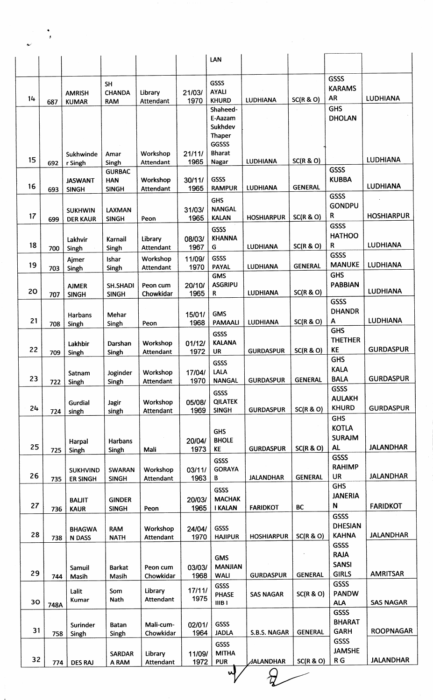| لهمط      | ¥.   |                                |                               |                              |                |                                 |                         |                |                                |                   |
|-----------|------|--------------------------------|-------------------------------|------------------------------|----------------|---------------------------------|-------------------------|----------------|--------------------------------|-------------------|
|           |      |                                |                               |                              |                | LAN                             |                         |                |                                |                   |
|           |      |                                |                               |                              |                |                                 |                         |                |                                |                   |
|           |      |                                | <b>SH</b>                     |                              |                | GSSS                            |                         |                | <b>GSSS</b><br><b>KARAMS</b>   |                   |
| 14        | 687  | <b>AMRISH</b><br><b>KUMAR</b>  | <b>CHANDA</b><br><b>RAM</b>   | Library<br>Attendant         | 21/03/<br>1970 | <b>AYALI</b><br><b>KHURD</b>    | <b>LUDHIANA</b>         | SC(R & O)      | <b>AR</b>                      | <b>LUDHIANA</b>   |
|           |      |                                |                               |                              |                | Shaheed-                        |                         |                | <b>GHS</b>                     |                   |
|           |      |                                |                               |                              |                | E-Aazam<br>Sukhdev              |                         |                | <b>DHOLAN</b>                  |                   |
|           |      |                                |                               |                              |                | Thaper                          |                         |                |                                |                   |
|           |      |                                |                               |                              |                | <b>GGSSS</b>                    |                         |                |                                |                   |
| 15        | 692  | Sukhwinde<br>r Singh           | Amar<br>Singh                 | Workshop<br>Attendant        | 21/11/<br>1965 | <b>Bharat</b><br>Nagar          | <b>LUDHIANA</b>         | SC(R & O)      |                                | <b>LUDHIANA</b>   |
|           |      |                                | <b>GURBAC</b>                 |                              |                |                                 |                         |                | <b>GSSS</b>                    |                   |
| 16        | 693  | <b>JASWANT</b><br><b>SINGH</b> | <b>HAN</b><br><b>SINGH</b>    | Workshop<br><b>Attendant</b> | 30/11/<br>1965 | GSSS<br><b>RAMPUR</b>           | <b>LUDHIANA</b>         | <b>GENERAL</b> | <b>KUBBA</b>                   | <b>LUDHIANA</b>   |
|           |      |                                |                               |                              |                | <b>GHS</b>                      |                         |                | <b>GSSS</b>                    |                   |
|           |      | <b>SUKHWIN</b>                 | LAXMAN                        |                              | 31/03/         | <b>NANGAL</b>                   |                         |                | <b>GONDPU</b><br>$\mathsf R$   | <b>HOSHIARPUR</b> |
| 17        | 699  | <b>DER KAUR</b>                | <b>SINGH</b>                  | Peon                         | 1965           | <b>KALAN</b>                    | <b>HOSHIARPUR</b>       | SC(R & O)      | GSSS                           |                   |
|           |      | Lakhvir                        | Karnail                       | Library                      | 08/03/         | <b>GSSS</b><br><b>KHANNA</b>    |                         |                | <b>HATHOO</b>                  |                   |
| 18        | 700  | Singh                          | Singh                         | Attendant                    | 1967           | G                               | <b>LUDHIANA</b>         | SC(R & O)      | R                              | <b>LUDHIANA</b>   |
| 19        |      | Ajmer                          | Ishar                         | Workshop                     | 11/09/<br>1970 | GSSS<br><b>PAYAL</b>            | <b>LUDHIANA</b>         | <b>GENERAL</b> | GSSS<br><b>MANUKE</b>          | <b>LUDHIANA</b>   |
|           | 703  | Singh                          | Singh                         | Attendant                    |                | <b>GMS</b>                      |                         |                | <b>GHS</b>                     |                   |
| <b>20</b> |      | <b>AJMER</b>                   | <b>SH.SHADI</b>               | Peon cum                     | 20/10/         | <b>ASGRIPU</b>                  | <b>LUDHIANA</b>         | SC(R & O)      | <b>PABBIAN</b>                 | <b>LUDHIANA</b>   |
|           | 707  | <b>SINGH</b>                   | <b>SINGH</b>                  | Chowkidar                    | 1965           | R                               |                         |                | <b>GSSS</b>                    |                   |
|           |      | <b>Harbans</b>                 | Mehar                         |                              | 15/01/         | <b>GMS</b>                      |                         |                | <b>DHANDR</b>                  |                   |
| 21        | 708  | Singh                          | Singh                         | Peon                         | 1968           | <b>PAMAALI</b>                  | <b>LUDHIANA</b>         | SC(R & O)      | A<br><b>GHS</b>                | <b>LUDHIANA</b>   |
|           |      | Lakhbir                        | Darshan                       | Workshop                     | 01/12/         | GSSS<br><b>KALANA</b>           |                         |                | <b>THETHER</b>                 |                   |
| 22        | 709  | Singh                          | Singh                         | Attendant                    | 1972           | <b>UR</b>                       | <b>GURDASPUR</b>        | SC(R & O)      | KE                             | <b>GURDASPUR</b>  |
|           |      |                                |                               |                              |                | GSSS                            |                         |                | <b>GHS</b><br><b>KALA</b>      |                   |
| 23        | 722  | Satnam<br>Singh                | Joginder<br>Singh             | Workshop<br>Attendant        | 17/04/<br>1970 | LALA<br><b>NANGAL</b>           | <b>GURDASPUR</b>        | <b>GENERAL</b> | <b>BALA</b>                    | <b>GURDASPUR</b>  |
|           |      |                                |                               |                              |                | <b>GSSS</b>                     |                         |                | <b>GSSS</b>                    |                   |
|           |      | Gurdial                        | Jagir                         | Workshop                     | 05/08/         | <b>QILATEK</b>                  |                         |                | <b>AULAKH</b><br><b>KHURD</b>  |                   |
| 24        | 724  | singh                          | singh                         | Attendant                    | 1969           | <b>SINGH</b>                    | <b>GURDASPUR</b>        | SC(R & O)      | <b>GHS</b>                     | <b>GURDASPUR</b>  |
|           |      |                                |                               |                              |                | <b>GHS</b>                      |                         |                | <b>KOTLA</b>                   |                   |
|           |      | Harpal                         | Harbans                       |                              | 20/04/         | <b>BHOLE</b>                    |                         |                | <b>SURAJM</b>                  |                   |
| 25        | 725  | Singh                          | Singh                         | Mali                         | 1973           | KE                              | <b>GURDASPUR</b>        | SC(R & O)      | <b>AL</b><br><b>GSSS</b>       | <b>JALANDHAR</b>  |
|           |      | <b>SUKHVIND</b>                | SWARAN                        | Workshop                     | 03/11/         | GSSS<br><b>GORAYA</b>           |                         |                | <b>RAHIMP</b>                  |                   |
| 26        | 735  | <b>ER SINGH</b>                | <b>SINGH</b>                  | Attendant                    | 1963           | В                               | <b>JALANDHAR</b>        | <b>GENERAL</b> | UR                             | <b>JALANDHAR</b>  |
|           |      |                                |                               |                              |                | GSSS                            |                         |                | <b>GHS</b><br><b>JANERIA</b>   |                   |
| 27        | 736  | <b>BALIT</b><br><b>KAUR</b>    | <b>GINDER</b><br><b>SINGH</b> | Peon                         | 20/03/<br>1965 | <b>MACHAK</b><br><b>I KALAN</b> | <b>FARIDKOT</b>         | BC             | N                              | <b>FARIDKOT</b>   |
|           |      |                                |                               |                              |                |                                 |                         |                | GSSS                           |                   |
| 28        |      | <b>BHAGWA</b>                  | <b>RAM</b>                    | Workshop                     | 24/04/         | GSSS                            | <b>HOSHIARPUR</b>       | SC(R & O)      | <b>DHESIAN</b><br><b>KAHNA</b> | <b>JALANDHAR</b>  |
|           | 738  | <b>N DASS</b>                  | <b>NATH</b>                   | Attendant                    | 1970           | <b>HAJIPUR</b>                  |                         |                | GSSS                           |                   |
|           |      |                                |                               |                              |                | <b>GMS</b>                      |                         |                | <b>RAJA</b>                    |                   |
| 29        |      | Samuil                         | <b>Barkat</b>                 | Peon cum                     | 03/03/         | <b>MANJIAN</b>                  |                         | <b>GENERAL</b> | <b>SANSI</b><br><b>GIRLS</b>   | <b>AMRITSAR</b>   |
|           | 744  | Masih                          | Masih                         | Chowkidar                    | 1968           | <b>WALI</b><br><b>GSSS</b>      | <b>GURDASPUR</b>        |                | GSSS                           |                   |
|           |      | Lalit<br>Kumar                 | Som<br>Nath                   | Library<br>Attendant         | 17/11/<br>1975 | <b>PHASE</b>                    | <b>SAS NAGAR</b>        | SC(R & O)      | <b>PANDW</b>                   |                   |
| 30        | 748A |                                |                               |                              |                | IIBI                            |                         |                | <b>ALA</b><br><b>GSSS</b>      | <b>SAS NAGAR</b>  |
|           |      | Surinder                       | Batan                         | Mali-cum-                    | 02/01/         | GSSS                            |                         |                | <b>BHARAT</b>                  |                   |
| 31        | 758  | Singh                          | Singh                         | Chowkidar                    | 1964           | <b>JADLA</b>                    | S.B.S. NAGAR            | <b>GENERAL</b> | <b>GARH</b>                    | <b>ROOPNAGAR</b>  |
|           |      |                                |                               |                              |                | GSSS                            |                         |                | GSSS<br><b>JAMSHE</b>          |                   |
| 32        | 774  | <b>DES RAJ</b>                 | <b>SARDAR</b><br>A RAM        | Library<br>Attendant         | 11/09/<br>1972 | <b>MITHA</b><br><b>PUR</b>      | <b><i>JALANDHAR</i></b> | SC(R & O)      | R <sub>G</sub>                 | <b>JALANDHAR</b>  |
|           |      |                                |                               |                              |                | ч,                              |                         |                |                                |                   |
|           |      |                                |                               |                              |                |                                 |                         |                |                                |                   |

.t